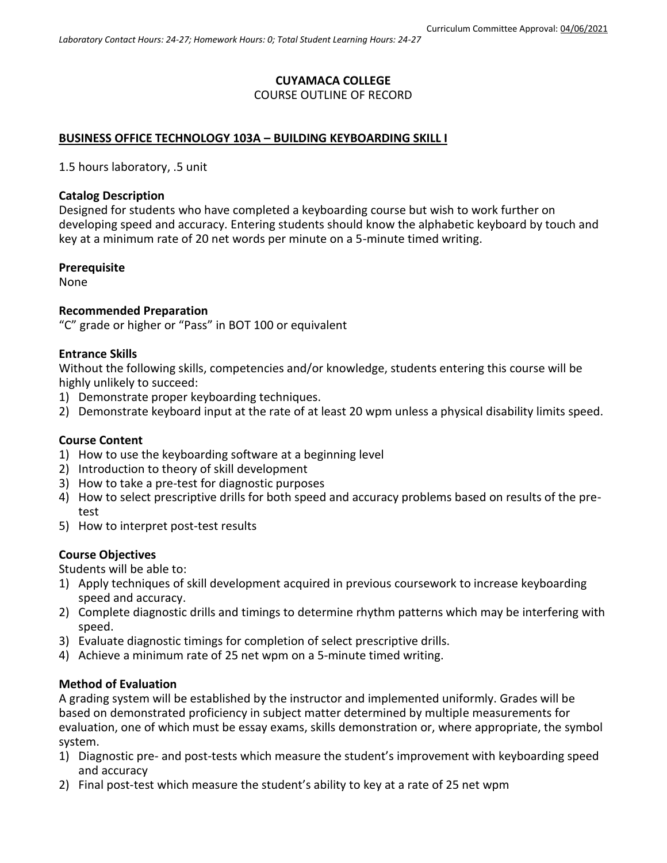# **CUYAMACA COLLEGE** COURSE OUTLINE OF RECORD

# **BUSINESS OFFICE TECHNOLOGY 103A – BUILDING KEYBOARDING SKILL I**

1.5 hours laboratory, .5 unit

### **Catalog Description**

Designed for students who have completed a keyboarding course but wish to work further on developing speed and accuracy. Entering students should know the alphabetic keyboard by touch and key at a minimum rate of 20 net words per minute on a 5-minute timed writing.

### **Prerequisite**

None

### **Recommended Preparation**

"C" grade or higher or "Pass" in BOT 100 or equivalent

### **Entrance Skills**

Without the following skills, competencies and/or knowledge, students entering this course will be highly unlikely to succeed:

- 1) Demonstrate proper keyboarding techniques.
- 2) Demonstrate keyboard input at the rate of at least 20 wpm unless a physical disability limits speed.

# **Course Content**

- 1) How to use the keyboarding software at a beginning level
- 2) Introduction to theory of skill development
- 3) How to take a pre-test for diagnostic purposes
- 4) How to select prescriptive drills for both speed and accuracy problems based on results of the pretest
- 5) How to interpret post-test results

# **Course Objectives**

Students will be able to:

- 1) Apply techniques of skill development acquired in previous coursework to increase keyboarding speed and accuracy.
- 2) Complete diagnostic drills and timings to determine rhythm patterns which may be interfering with speed.
- 3) Evaluate diagnostic timings for completion of select prescriptive drills.
- 4) Achieve a minimum rate of 25 net wpm on a 5-minute timed writing.

#### **Method of Evaluation**

A grading system will be established by the instructor and implemented uniformly. Grades will be based on demonstrated proficiency in subject matter determined by multiple measurements for evaluation, one of which must be essay exams, skills demonstration or, where appropriate, the symbol system.

- 1) Diagnostic pre- and post-tests which measure the student's improvement with keyboarding speed and accuracy
- 2) Final post-test which measure the student's ability to key at a rate of 25 net wpm